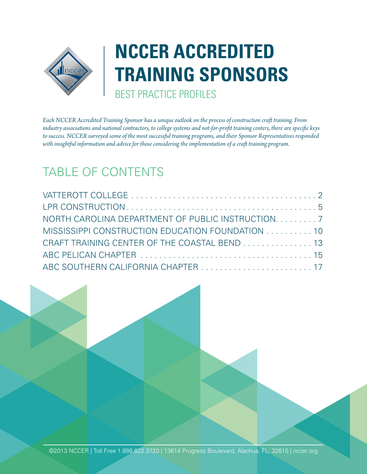

# **NCCER ACCREDITED TRAINING SPONSORS** BEST PRACTICE PROFILES

*Each NCCER Accredited Training Sponsor has a unique outlook on the process of construction craft training. From industry associations and national contractors, to college systems and not-for-profit training centers, there are specific keys to success. NCCER surveyed some of the most successful training programs, and their Sponsor Representatives responded*  with insightful information and advice for those considering the implementation of a craft training program.

## TABLE OF CONTENTS

| NORTH CAROLINA DEPARTMENT OF PUBLIC INSTRUCTION. 7 |  |
|----------------------------------------------------|--|
| MISSISSIPPI CONSTRUCTION EDUCATION FOUNDATION 10   |  |
| CRAFT TRAINING CENTER OF THE COASTAL BEND 13       |  |
|                                                    |  |
|                                                    |  |

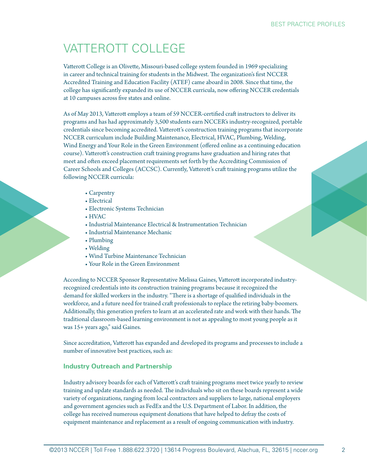## VATTEROTT COLLEGE

Vatterott College is an Olivette, Missouri-based college system founded in 1969 specializing in career and technical training for students in the Midwest. The organization's first NCCER Accredited Training and Education Facility (ATEF) came aboard in 2008. Since that time, the college has significantly expanded its use of NCCER curricula, now offering NCCER credentials at 10 campuses across five states and online.

As of May 2013, Vatterott employs a team of 59 NCCER-certified craft instructors to deliver its programs and has had approximately 3,500 students earn NCCER's industry-recognized, portable credentials since becoming accredited. Vatterott's construction training programs that incorporate NCCER curriculum include Building Maintenance, Electrical, HVAC, Plumbing, Welding, Wind Energy and Your Role in the Green Environment (offered online as a continuing education course). Vatterott's construction craft training programs have graduation and hiring rates that meet and often exceed placement requirements set forth by the Accrediting Commission of Career Schools and Colleges (ACCSC). Currently, Vatterott's craft training programs utilize the following NCCER curricula:

- Carpentry
- Electrical
- Electronic Systems Technician
- HVAC
- •Industrial Maintenance Electrical & Instrumentation Technician
- •Industrial Maintenance Mechanic
- Plumbing
- Welding
- Wind Turbine Maintenance Technician
- Your Role in the Green Environment

According to NCCER Sponsor Representative Melissa Gaines, Vatterott incorporated industryrecognized credentials into its construction training programs because it recognized the demand for skilled workers in the industry. "There is a shortage of qualified individuals in the workforce, and a future need for trained craft professionals to replace the retiring baby-boomers. Additionally, this generation prefers to learn at an accelerated rate and work with their hands. The traditional classroom-based learning environment is not as appealing to most young people as it was 15+ years ago," said Gaines.

Since accreditation, Vatterott has expanded and developed its programs and processes to include a number of innovative best practices, such as:

## **Industry Outreach and Partnership**

Industry advisory boards for each of Vatterott's craft training programs meet twice yearly to review training and update standards as needed. The individuals who sit on these boards represent a wide variety of organizations, ranging from local contractors and suppliers to large, national employers and government agencies such as FedEx and the U.S. Department of Labor. In addition, the college has received numerous equipment donations that have helped to defray the costs of equipment maintenance and replacement as a result of ongoing communication with industry.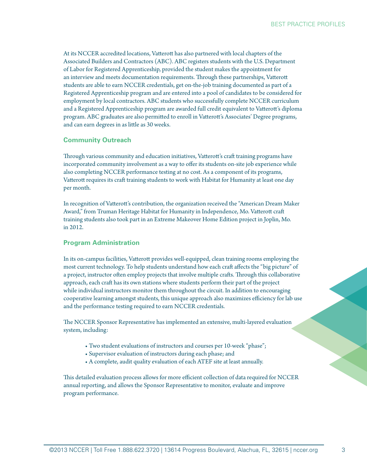At its NCCER accredited locations, Vatterott has also partnered with local chapters of the Associated Builders and Contractors (ABC). ABC registers students with the U.S. Department of Labor for Registered Apprenticeship, provided the student makes the appointment for an interview and meets documentation requirements. Through these partnerships, Vatterott students are able to earn NCCER credentials, get on-the-job training documented as part of a Registered Apprenticeship program and are entered into a pool of candidates to be considered for employment by local contractors. ABC students who successfully complete NCCER curriculum and a Registered Apprenticeship program are awarded full credit equivalent to Vatterott's diploma program. ABC graduates are also permitted to enroll in Vatterott's Associates' Degree programs, and can earn degrees in as little as 30 weeks.

## **Community Outreach**

Through various community and education initiatives, Vatterott's craft training programs have incorporated community involvement as a way to offer its students on-site job experience while also completing NCCER performance testing at no cost. As a component of its programs, Vatterott requires its craft training students to work with Habitat for Humanity at least one day per month.

In recognition of Vatterott's contribution, the organization received the "American Dream Maker Award," from Truman Heritage Habitat for Humanity in Independence, Mo. Vatterott craft training students also took part in an Extreme Makeover Home Edition project in Joplin, Mo. in 2012.

## **Program Administration**

In its on-campus facilities, Vatterott provides well-equipped, clean training rooms employing the most current technology. To help students understand how each craft affects the "big picture" of a project, instructor often employ projects that involve multiple crafts. Through this collaborative approach, each craft has its own stations where students perform their part of the project while individual instructors monitor them throughout the circuit. In addition to encouraging cooperative learning amongst students, this unique approach also maximizes efficiency for lab use and the performance testing required to earn NCCER credentials.

The NCCER Sponsor Representative has implemented an extensive, multi-layered evaluation system, including:

- Two student evaluations of instructors and courses per 10-week "phase";
- Supervisor evaluation of instructors during each phase; and
- A complete, audit quality evaluation of each ATEF site at least annually.

This detailed evaluation process allows for more efficient collection of data required for NCCER annual reporting, and allows the Sponsor Representative to monitor, evaluate and improve program performance.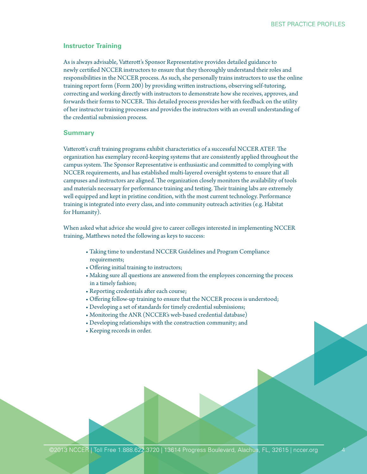#### **Instructor Training**

As is always advisable, Vatterott's Sponsor Representative provides detailed guidance to newly certified NCCER instructors to ensure that they thoroughly understand their roles and responsibilities in the NCCER process. As such, she personally trains instructors to use the online training report form (Form 200) by providing written instructions, observing self-tutoring, correcting and working directly with instructors to demonstrate how she receives, approves, and forwards their forms to NCCER. This detailed process provides her with feedback on the utility of her instructor training processes and provides the instructors with an overall understanding of the credential submission process.

#### **Summary**

Vatterott's craft training programs exhibit characteristics of a successful NCCER ATEF. The organization has exemplary record-keeping systems that are consistently applied throughout the campus system. The Sponsor Representative is enthusiastic and committed to complying with NCCER requirements, and has established multi-layered oversight systems to ensure that all campuses and instructors are aligned. The organization closely monitors the availability of tools and materials necessary for performance training and testing. Their training labs are extremely well equipped and kept in pristine condition, with the most current technology. Performance training is integrated into every class, and into community outreach activities (e.g. Habitat for Humanity).

When asked what advice she would give to career colleges interested in implementing NCCER training, Matthews noted the following as keys to success:

- Taking time to understand NCCER Guidelines and Program Compliance requirements;
- Offering initial training to instructors;
- Making sure all questions are answered from the employees concerning the process in a timely fashion;
- Reporting credentials after each course;
- Offering follow-up training to ensure that the NCCER process is understood;
- Developing a set of standards for timely credential submissions;
- Monitoring the ANR (NCCER's web-based credential database)
- Developing relationships with the construction community; and
- Keeping records in order.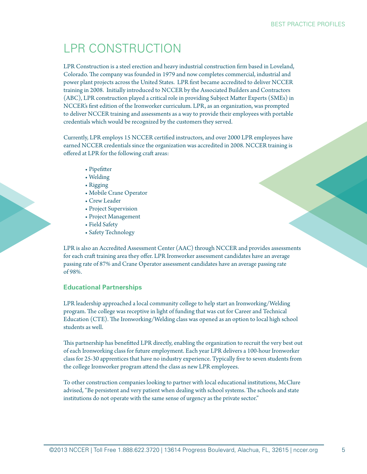## LPR CONSTRUCTION

LPR Construction is a steel erection and heavy industrial construction firm based in Loveland, Colorado. The company was founded in 1979 and now completes commercial, industrial and power plant projects across the United States. LPR first became accredited to deliver NCCER training in 2008. Initially introduced to NCCER by the Associated Builders and Contractors (ABC), LPR construction played a critical role in providing Subject Matter Experts (SMEs) in NCCER's first edition of the Ironworker curriculum. LPR, as an organization, was prompted to deliver NCCER training and assessments as a way to provide their employees with portable credentials which would be recognized by the customers they served.

Currently, LPR employs 15 NCCER certified instructors, and over 2000 LPR employees have earned NCCER credentials since the organization was accredited in 2008. NCCER training is offered at LPR for the following craft areas:

- Pipefitter
- Welding
- Rigging
- Mobile Crane Operator
- Crew Leader
- Project Supervision
- Project Management
- Field Safety
- Safety Technology

LPR is also an Accredited Assessment Center (AAC) through NCCER and provides assessments for each craft training area they offer. LPR Ironworker assessment candidates have an average passing rate of 87% and Crane Operator assessment candidates have an average passing rate of 98%.

## **Educational Partnerships**

LPR leadership approached a local community college to help start an Ironworking/Welding program. The college was receptive in light of funding that was cut for Career and Technical Education (CTE). The Ironworking/Welding class was opened as an option to local high school students as well.

This partnership has benefitted LPR directly, enabling the organization to recruit the very best out of each Ironworking class for future employment. Each year LPR delivers a 100-hour Ironworker class for 25-30 apprentices that have no industry experience. Typically five to seven students from the college Ironworker program attend the class as new LPR employees.

To other construction companies looking to partner with local educational institutions, McClure advised, "Be persistent and very patient when dealing with school systems. The schools and state institutions do not operate with the same sense of urgency as the private sector."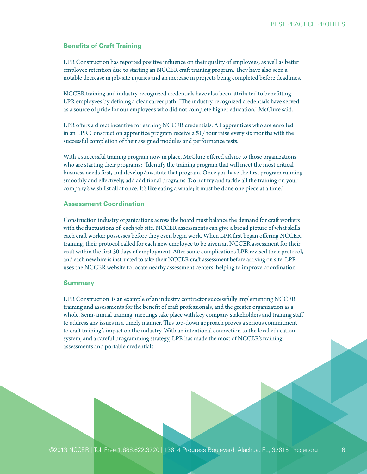## **Benefits of Craft Training**

LPR Construction has reported positive influence on their quality of employees, as well as better employee retention due to starting an NCCER craft training program. They have also seen a notable decrease in job-site injuries and an increase in projects being completed before deadlines.

NCCER training and industry-recognized credentials have also been attributed to benefitting LPR employees by defining a clear career path. "The industry-recognized credentials have served as a source of pride for our employees who did not complete higher education," McClure said.

LPR offers a direct incentive for earning NCCER credentials. All apprentices who are enrolled in an LPR Construction apprentice program receive a \$1/hour raise every six months with the successful completion of their assigned modules and performance tests.

With a successful training program now in place, McClure offered advice to those organizations who are starting their programs: "Identify the training program that will meet the most critical business needs first, and develop/institute that program. Once you have the first program running smoothly and effectively, add additional programs. Do not try and tackle all the training on your company's wish list all at once. It's like eating a whale; it must be done one piece at a time."

#### **Assessment Coordination**

Construction industry organizations across the board must balance the demand for craft workers with the fluctuations of each job site. NCCER assessments can give a broad picture of what skills each craft worker possesses before they even begin work. When LPR first began offering NCCER training, their protocol called for each new employee to be given an NCCER assessment for their craft within the first 30 days of employment. After some complications LPR revised their protocol, and each new hire is instructed to take their NCCER craft assessment before arriving on site. LPR uses the NCCER website to locate nearby assessment centers, helping to improve coordination.

#### **Summary**

LPR Construction is an example of an industry contractor successfully implementing NCCER training and assessments for the benefit of craft professionals, and the greater organization as a whole. Semi-annual training meetings take place with key company stakeholders and training staff to address any issues in a timely manner. This top-down approach proves a serious commitment to craft training's impact on the industry. With an intentional connection to the local education system, and a careful programming strategy, LPR has made the most of NCCER's training, assessments and portable credentials.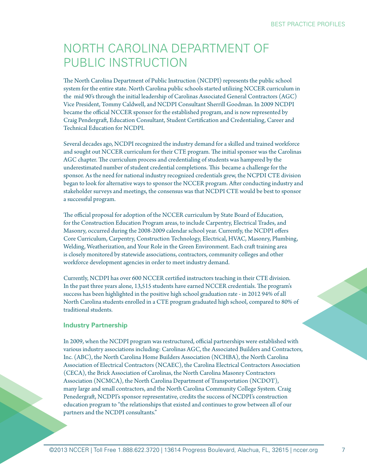## NORTH CAROLINA DEPARTMENT OF PUBLIC INSTRUCTION

The North Carolina Department of Public Instruction (NCDPI) represents the public school system for the entire state. North Carolina public schools started utilizing NCCER curriculum in the mid 90's through the initial leadership of Carolinas Associated General Contractors (AGC) Vice President, Tommy Caldwell, and NCDPI Consultant Sherrill Goodman. In 2009 NCDPI became the official NCCER sponsor for the established program, and is now represented by Craig Pendergraft, Education Consultant, Student Certification and Credentialing, Career and Technical Education for NCDPI.

Several decades ago, NCDPI recognized the industry demand for a skilled and trained workforce and sought out NCCER curriculum for their CTE program. The initial sponsor was the Carolinas AGC chapter. The curriculum process and credentialing of students was hampered by the underestimated number of student credential completions. This became a challenge for the sponsor. As the need for national industry recognized credentials grew, the NCPDI CTE division began to look for alternative ways to sponsor the NCCER program. After conducting industry and stakeholder surveys and meetings, the consensus was that NCDPI CTE would be best to sponsor a successful program.

The official proposal for adoption of the NCCER curriculum by State Board of Education, for the Construction Education Program areas, to include Carpentry, Electrical Trades, and Masonry, occurred during the 2008-2009 calendar school year. Currently, the NCDPI offers Core Curriculum, Carpentry, Construction Technology, Electrical, HVAC, Masonry, Plumbing, Welding, Weatherization, and Your Role in the Green Environment. Each craft training area is closely monitored by statewide associations, contractors, community colleges and other workforce development agencies in order to meet industry demand.

Currently, NCDPI has over 600 NCCER certified instructors teaching in their CTE division. In the past three years alone, 13,515 students have earned NCCER credentials. The program's success has been highlighted in the positive high school graduation rate - in 2012 94% of all North Carolina students enrolled in a CTE program graduated high school, compared to 80% of traditional students.

## **Industry Partnership**

In 2009, when the NCDPI program was restructured, official partnerships were established with various industry associations including: Carolinas AGC, the Associated Builders and Contractors, Inc. (ABC), the North Carolina Home Builders Association (NCHBA), the North Carolina Association of Electrical Contractors (NCAEC), the Carolina Electrical Contractors Association (CECA), the Brick Association of Carolinas, the North Carolina Masonry Contractors Association (NCMCA), the North Carolina Department of Transportation (NCDOT), many large and small contractors, and the North Carolina Community College System. Craig Penedergraft, NCDPI's sponsor representative, credits the success of NCDPI's construction education program to "the relationships that existed and continues to grow between all of our partners and the NCDPI consultants."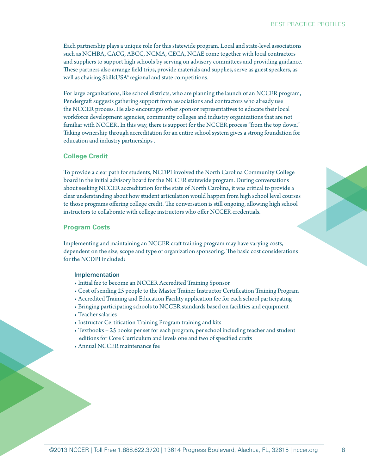Each partnership plays a unique role for this statewide program. Local and state-level associations such as NCHBA, CACG, ABCC, NCMA, CECA, NCAE come together with local contractors and suppliers to support high schools by serving on advisory committees and providing guidance. These partners also arrange field trips, provide materials and supplies, serve as guest speakers, as well as chairing SkillsUSA® regional and state competitions.

For large organizations, like school districts, who are planning the launch of an NCCER program, Pendergraft suggests gathering support from associations and contractors who already use the NCCER process. He also encourages other sponsor representatives to educate their local workforce development agencies, community colleges and industry organizations that are not familiar with NCCER. In this way, there is support for the NCCER process "from the top down." Taking ownership through accreditation for an entire school system gives a strong foundation for education and industry partnerships .

## **College Credit**

To provide a clear path for students, NCDPI involved the North Carolina Community College board in the initial advisory board for the NCCER statewide program. During conversations about seeking NCCER accreditation for the state of North Carolina, it was critical to provide a clear understanding about how student articulation would happen from high school level courses to those programs offering college credit. The conversation is still ongoing, allowing high school instructors to collaborate with college instructors who offer NCCER credentials.

## **Program Costs**

Implementing and maintaining an NCCER craft training program may have varying costs, dependent on the size, scope and type of organization sponsoring. The basic cost considerations for the NCDPI included:

#### Implementation

- •Initial fee to become an NCCER Accredited Training Sponsor
- Cost of sending 25 people to the Master Trainer Instructor Certification Training Program
- Accredited Training and Education Facility application fee for each school participating
- Bringing participating schools to NCCER standards based on facilities and equipment
- Teacher salaries
- •Instructor Certification Training Program training and kits
- Textbooks 25 books per set for each program, per school including teacher and student editions for Core Curriculum and levels one and two of specified crafts
- Annual NCCER maintenance fee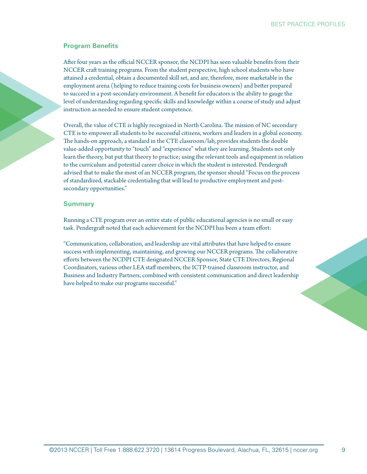#### BEST PRACTICE PROFILES

## **Program Benefits**

After four years as the official NCCER sponsor, the NCDPI has seen valuable benefits from their NCCER craft training programs. From the student perspective, high school students who have attained a credential, obtain a documented skill set, and are, therefore, more marketable in the employment arena (helping to reduce training costs for business owners) and better prepared to succeed in a post-secondary environment. A benefit for educators is the ability to gauge the level of understanding regarding specific skills and knowledge within a course of study and adjust instruction as needed to ensure student competence.

Overall, the value of CTE is highly recognized in North Carolina. The mission of NC secondary CTE is to empower all students to be successful citizens, workers and leaders in a global economy. The hands-on approach, a standard in the CTE classroom/lab, provides students the double value-added opportunity to "touch" and "experience" what they are learning. Students not only learn the theory, but put that theory to practice; using the relevant tools and equipment in relation to the curriculum and potential career choice in which the student is interested. Pendergraft advised that to make the most of an NCCER program, the sponsor should "Focus on the process of standardized, stackable credentialing that will lead to productive employment and postsecondary opportunities."

#### **Summary**

Running a CTE program over an entire state of public educational agencies is no small or easy task. Pendergraft noted that each achievement for the NCDPI has been a team effort:

"Communication, collaboration, and leadership are vital attributes that have helped to ensure success with implementing, maintaining, and growing our NCCER programs. The collaborative efforts between the NCDPI CTE designated NCCER Sponsor, State CTE Directors, Regional Coordinators, various other LEA staff members, the ICTP-trained classroom instructor, and Business and Industry Partners, combined with consistent communication and direct leadership have helped to make our programs successful."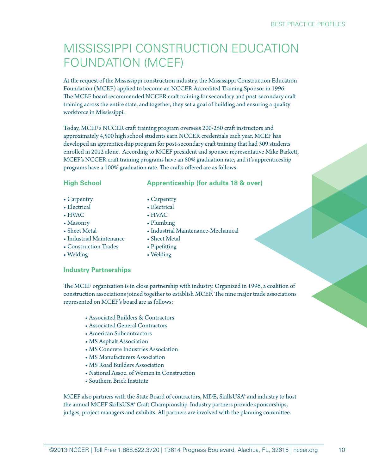## MISSISSIPPI CONSTRUCTION EDUCATION FOUNDATION (MCEF)

At the request of the Mississippi construction industry, the Mississippi Construction Education Foundation (MCEF) applied to become an NCCER Accredited Training Sponsor in 1996. The MCEF board recommended NCCER craft training for secondary and post-secondary craft training across the entire state, and together, they set a goal of building and ensuring a quality workforce in Mississippi.

Today, MCEF's NCCER craft training program oversees 200-250 craft instructors and approximately 4,500 high school students earn NCCER credentials each year. MCEF has developed an apprenticeship program for post-secondary craft training that had 309 students enrolled in 2012 alone. According to MCEF president and sponsor representative Mike Barkett, MCEF's NCCER craft training programs have an 80% graduation rate, and it's apprenticeship programs have a 100% graduation rate. The crafts offered are as follows:

**Apprenticeship (for adults 18 & over)**

•Industrial Maintenance-Mechanical

## **High School**

- Carpentry
- Electrical
- HVAC
- Masonry
- Sheet Metal
- •Industrial Maintenance
- Construction Trades
- Welding

• Pipefitting

• Sheet Metal

• Carpentry • Electrical • HVAC • Plumbing

• Welding

## **Industry Partnerships**

The MCEF organization is in close partnership with industry. Organized in 1996, a coalition of construction associations joined together to establish MCEF. The nine major trade associations represented on MCEF's board are as follows:

- Associated Builders & Contractors
- Associated General Contractors
- American Subcontractors
- MS Asphalt Association
- MS Concrete Industries Association
- MS Manufacturers Association
- MS Road Builders Association
- National Assoc. of Women in Construction
- Southern Brick Institute

MCEF also partners with the State Board of contractors, MDE, SkillsUSA® and industry to host the annual MCEF SkillsUSA® Craft Championship. Industry partners provide sponsorships, judges, project managers and exhibits. All partners are involved with the planning committee.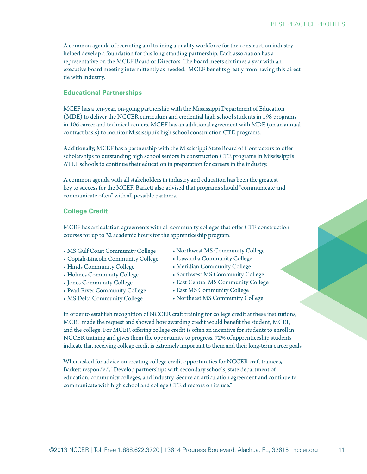A common agenda of recruiting and training a quality workforce for the construction industry helped develop a foundation for this long-standing partnership. Each association has a representative on the MCEF Board of Directors. The board meets six times a year with an executive board meeting intermittently as needed. MCEF benefits greatly from having this direct tie with industry.

## **Educational Partnerships**

MCEF has a ten-year, on-going partnership with the Mississippi Department of Education (MDE) to deliver the NCCER curriculum and credential high school students in 198 programs in 106 career and technical centers. MCEF has an additional agreement with MDE (on an annual contract basis) to monitor Mississippi's high school construction CTE programs.

Additionally, MCEF has a partnership with the Mississippi State Board of Contractors to offer scholarships to outstanding high school seniors in construction CTE programs in Mississippi's ATEF schools to continue their education in preparation for careers in the industry.

A common agenda with all stakeholders in industry and education has been the greatest key to success for the MCEF. Barkett also advised that programs should "communicate and communicate often" with all possible partners.

## **College Credit**

MCEF has articulation agreements with all community colleges that offer CTE construction courses for up to 32 academic hours for the apprenticeship program.

- MS Gulf Coast Community College
- Copiah-Lincoln Community College
- Hinds Community College
- Holmes Community College
- •Jones Community College
- Pearl River Community College
- MS Delta Community College
- Northwest MS Community College
- •Itawamba Community College
- Meridian Community College
- Southwest MS Community College
- East Central MS Community College
- East MS Community College
- Northeast MS Community College

In order to establish recognition of NCCER craft training for college credit at these institutions, MCEF made the request and showed how awarding credit would benefit the student, MCEF, and the college. For MCEF, offering college credit is often an incentive for students to enroll in NCCER training and gives them the opportunity to progress. 72% of apprenticeship students indicate that receiving college credit is extremely important to them and their long-term career goals.

When asked for advice on creating college credit opportunities for NCCER craft trainees, Barkett responded, "Develop partnerships with secondary schools, state department of education, community colleges, and industry. Secure an articulation agreement and continue to communicate with high school and college CTE directors on its use."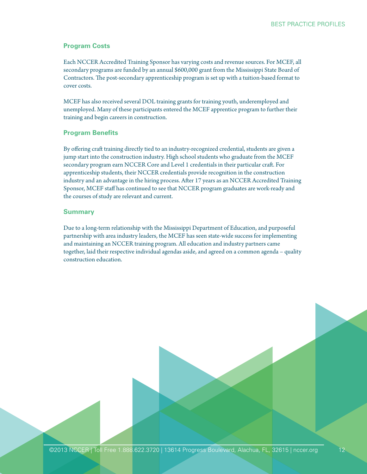## **Program Costs**

Each NCCER Accredited Training Sponsor has varying costs and revenue sources. For MCEF, all secondary programs are funded by an annual \$600,000 grant from the Mississippi State Board of Contractors. The post-secondary apprenticeship program is set up with a tuition-based format to cover costs.

MCEF has also received several DOL training grants for training youth, underemployed and unemployed. Many of these participants entered the MCEF apprentice program to further their training and begin careers in construction.

## **Program Benefits**

By offering craft training directly tied to an industry-recognized credential, students are given a jump start into the construction industry. High school students who graduate from the MCEF secondary program earn NCCER Core and Level 1 credentials in their particular craft. For apprenticeship students, their NCCER credentials provide recognition in the construction industry and an advantage in the hiring process. After 17 years as an NCCER Accredited Training Sponsor, MCEF staff has continued to see that NCCER program graduates are work-ready and the courses of study are relevant and current.

## **Summary**

Due to a long-term relationship with the Mississippi Department of Education, and purposeful partnership with area industry leaders, the MCEF has seen state-wide success for implementing and maintaining an NCCER training program. All education and industry partners came together, laid their respective individual agendas aside, and agreed on a common agenda – quality construction education.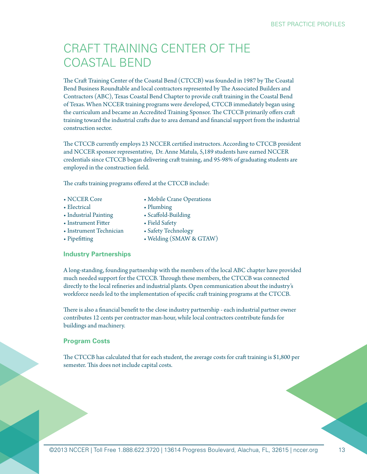## CRAFT TRAINING CENTER OF THE COASTAL BEND

The Craft Training Center of the Coastal Bend (CTCCB) was founded in 1987 by The Coastal Bend Business Roundtable and local contractors represented by The Associated Builders and Contractors (ABC), Texas Coastal Bend Chapter to provide craft training in the Coastal Bend of Texas. When NCCER training programs were developed, CTCCB immediately began using the curriculum and became an Accredited Training Sponsor. The CTCCB primarily offers craft training toward the industrial crafts due to area demand and financial support from the industrial construction sector.

The CTCCB currently employs 23 NCCER certified instructors. According to CTCCB president and NCCER sponsor representative, Dr. Anne Matula, 5,189 students have earned NCCER credentials since CTCCB began delivering craft training, and 95-98% of graduating students are employed in the construction field.

The crafts training programs offered at the CTCCB include:

- NCCER Core
- Electrical
- Plumbing • Scaffold-Building
- Industrial Painting •Instrument Fitter
- Field Safety
- •Instrument Technician
- Pipefitting
- Safety Technology • Welding (SMAW & GTAW)

• Mobile Crane Operations

## **Industry Partnerships**

A long-standing, founding partnership with the members of the local ABC chapter have provided much needed support for the CTCCB. Through these members, the CTCCB was connected directly to the local refineries and industrial plants. Open communication about the industry's workforce needs led to the implementation of specific craft training programs at the CTCCB.

There is also a financial benefit to the close industry partnership - each industrial partner owner contributes 12 cents per contractor man-hour, while local contractors contribute funds for buildings and machinery.

## **Program Costs**

The CTCCB has calculated that for each student, the average costs for craft training is \$1,800 per semester. This does not include capital costs.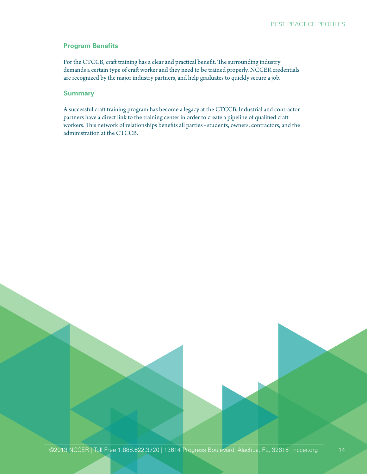## **Program Benefits**

For the CTCCB, craft training has a clear and practical benefit. The surrounding industry demands a certain type of craft worker and they need to be trained properly. NCCER credentials are recognized by the major industry partners, and help graduates to quickly secure a job.

#### **Summary**

A successful craft training program has become a legacy at the CTCCB. Industrial and contractor partners have a direct link to the training center in order to create a pipeline of qualified craft workers. This network of relationships benefits all parties - students, owners, contractors, and the administration at the CTCCB.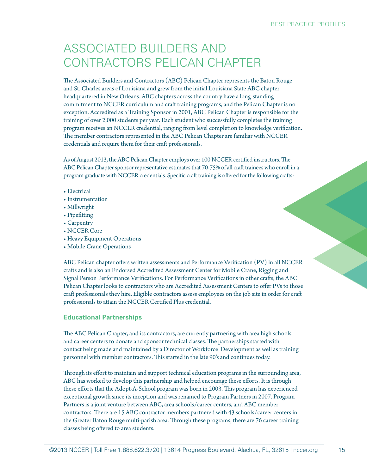## ASSOCIATED BUILDERS AND CONTRACTORS PELICAN CHAPTER

The Associated Builders and Contractors (ABC) Pelican Chapter represents the Baton Rouge and St. Charles areas of Louisiana and grew from the initial Louisiana State ABC chapter headquartered in New Orleans. ABC chapters across the country have a long-standing commitment to NCCER curriculum and craft training programs, and the Pelican Chapter is no exception. Accredited as a Training Sponsor in 2001, ABC Pelican Chapter is responsible for the training of over 2,000 students per year. Each student who successfully completes the training program receives an NCCER credential, ranging from level completion to knowledge verification. The member contractors represented in the ABC Pelican Chapter are familiar with NCCER credentials and require them for their craft professionals.

As of August 2013, the ABC Pelican Chapter employs over 100 NCCER certified instructors. The ABC Pelican Chapter sponsor representative estimates that 70-75% of all craft trainees who enroll in a program graduate with NCCER credentials. Specific craft training is offered for the following crafts:

- Electrical
- •Instrumentation
- Millwright
- Pipefitting
- Carpentry
- NCCER Core
- Heavy Equipment Operations
- Mobile Crane Operations

ABC Pelican chapter offers written assessments and Performance Verification (PV) in all NCCER crafts and is also an Endorsed Accredited Assessment Center for Mobile Crane, Rigging and Signal Person Performance Verifications. For Performance Verifications in other crafts, the ABC Pelican Chapter looks to contractors who are Accredited Assessment Centers to offer PVs to those craft professionals they hire. Eligible contractors assess employees on the job site in order for craft professionals to attain the NCCER Certified Plus credential.

## **Educational Partnerships**

The ABC Pelican Chapter, and its contractors, are currently partnering with area high schools and career centers to donate and sponsor technical classes. The partnerships started with contact being made and maintained by a Director of Workforce Development as well as training personnel with member contractors. This started in the late 90's and continues today.

Through its effort to maintain and support technical education programs in the surrounding area, ABC has worked to develop this partnership and helped encourage these efforts. It is through these efforts that the Adopt-A-School program was born in 2003. This program has experienced exceptional growth since its inception and was renamed to Program Partners in 2007. Program Partners is a joint venture between ABC, area schools/career centers, and ABC member contractors. There are 15 ABC contractor members partnered with 43 schools/career centers in the Greater Baton Rouge multi-parish area. Through these programs, there are 76 career training classes being offered to area students.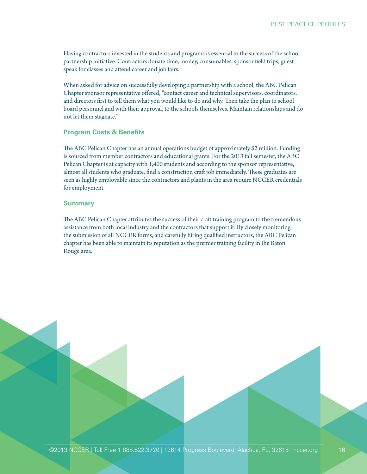Having contractors invested in the students and programs is essential to the success of the school partnership initiative. Contractors donate time, money, consumables, sponsor field trips, guest speak for classes and attend career and job fairs.

When asked for advice on successfully developing a partnership with a school, the ABC Pelican Chapter sponsor representative offered, "contact career and technical supervisors, coordinators, and directors first to tell them what you would like to do and why. Then take the plan to school board personnel and with their approval, to the schools themselves. Maintain relationships and do not let them stagnate."

## **Program Costs & Benefits**

The ABC Pelican Chapter has an annual operations budget of approximately \$2 million. Funding is sourced from member contractors and educational grants. For the 2013 fall semester, the ABC Pelican Chapter is at capacity with 1,400 students and according to the sponsor representative, almost all students who graduate, find a construction craft job immediately. These graduates are seen as highly employable since the contractors and plants in the area require NCCER credentials for employment.

## **Summary**

The ABC Pelican Chapter attributes the success of their craft training program to the tremendous assistance from both local industry and the contractors that support it. By closely monitoring the submission of all NCCER forms, and carefully hiring qualified instructors, the ABC Pelican chapter has been able to maintain its reputation as the premier training facility in the Baton Rouge area.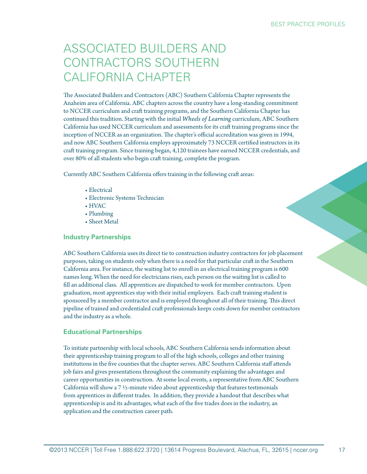## ASSOCIATED BUILDERS AND CONTRACTORS SOUTHERN CALIFORNIA CHAPTER

The Associated Builders and Contractors (ABC) Southern California Chapter represents the Anaheim area of California. ABC chapters across the country have a long-standing commitment to NCCER curriculum and craft training programs, and the Southern California Chapter has continued this tradition. Starting with the initial *Wheels of Learning* curriculum, ABC Southern California has used NCCER curriculum and assessments for its craft training programs since the inception of NCCER as an organization. The chapter's official accreditation was given in 1994, and now ABC Southern California employs approximately 73 NCCER certified instructors in its craft training program. Since training began, 4,120 trainees have earned NCCER credentials, and over 80% of all students who begin craft training, complete the program.

Currently ABC Southern California offers training in the following craft areas:

- Electrical
- Electronic Systems Technician
- HVAC
- Plumbing
- Sheet Metal

## **Industry Partnerships**

ABC Southern California uses its direct tie to construction industry contractors for job placement purposes, taking on students only when there is a need for that particular craft in the Southern California area. For instance, the waiting list to enroll in an electrical training program is 600 names long. When the need for electricians rises, each person on the waiting list is called to fill an additional class. All apprentices are dispatched to work for member contractors. Upon graduation, most apprentices stay with their initial employers. Each craft training student is sponsored by a member contractor and is employed throughout all of their training. This direct pipeline of trained and credentialed craft professionals keeps costs down for member contractors and the industry as a whole.

## **Educational Partnerships**

To initiate partnership with local schools, ABC Southern California sends information about their apprenticeship training program to all of the high schools, colleges and other training institutions in the five counties that the chapter serves. ABC Southern California staff attends job fairs and gives presentations throughout the community explaining the advantages and career opportunities in construction. At some local events, a representative from ABC Southern California will show a  $7\frac{1}{2}$ -minute video about apprenticeship that features testimonials from apprentices in different trades. In addition, they provide a handout that describes what apprenticeship is and its advantages, what each of the five trades does in the industry, an application and the construction career path.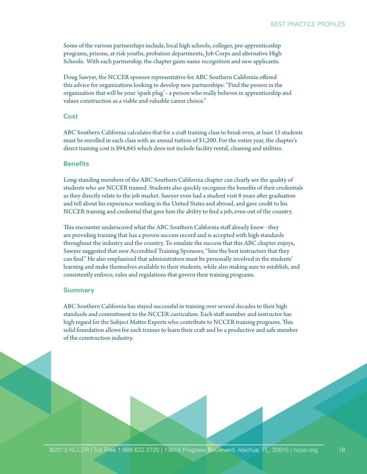Some of the various partnerships include, local high schools, colleges, pre-apprenticeship programs, prisons, at-risk youths, probation departments, Job Corps and alternative High Schools. With each partnership, the chapter gains name recognition and new applicants.

Doug Sawyer, the NCCER sponsor representative for ABC Southern California offered this advice for organizations looking to develop new partnerships: "Find the person in the organization that will be your 'spark plug' - a person who really believes in apprenticeship and values construction as a viable and valuable career choice."

#### **Cost**

ABC Southern California calculates that for a craft training class to break even, at least 15 students must be enrolled in each class with an annual tuition of \$1,200. For the entire year, the chapter's direct training cost is \$94,845 which does not include facility rental, cleaning and utilities.

#### **Benefits**

Long-standing members of the ABC Southern California chapter can clearly see the quality of students who are NCCER trained. Students also quickly recognize the benefits of their credentials as they directly relate to the job market. Sawyer even had a student visit 8 years after graduation and tell about his experience working in the United States and abroad, and gave credit to his NCCER training and credential that gave him the ability to find a job, even out of the country.

This encounter underscored what the ABC Southern California staff already knew - they are providing training that has a proven success record and is accepted with high standards throughout the industry and the country. To emulate the success that this ABC chapter enjoys, Sawyer suggested that new Accredited Training Sponsors, "hire the best instructors that they can find." He also emphasized that administrators must be personally involved in the students' learning and make themselves available to their students, while also making sure to establish, and consistently enforce, rules and regulations that govern their training programs.

#### **Summary**

ABC Southern California has stayed successful in training over several decades to their high standards and commitment to the NCCER curriculum. Each staff member and instructor has high regard for the Subject Matter Experts who contribute to NCCER training programs. This solid foundation allows for each trainee to learn their craft and be a productive and safe member of the construction industry.